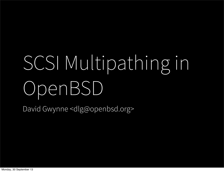# SCSI Multipathing in OpenBSD

David Gwynne <dlg@openbsd.org>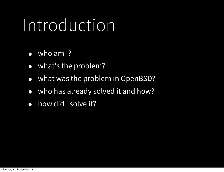#### Introduction

- who am I?
- what's the problem?
- what was the problem in OpenBSD?
- who has already solved it and how?
- how did I solve it?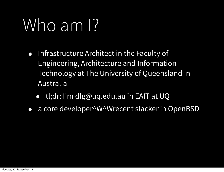#### Who am I?

- Infrastructure Architect in the Faculty of Engineering, Architecture and Information Technology at The University of Queensland in Australia
	- tl;dr: I'm dlg@uq.edu.au in EAIT at UQ
- a core developer<sup>^</sup>W^Wrecent slacker in OpenBSD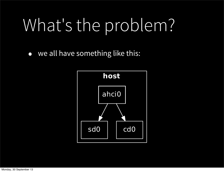• we all have something like this:

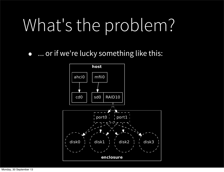• ... or if we're lucky something like this:

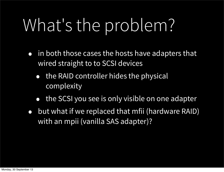- in both those cases the hosts have adapters that wired straight to to SCSI devices
	- the RAID controller hides the physical complexity
	- the SCSI you see is only visible on one adapter
- but what if we replaced that mfii (hardware RAID) with an mpii (vanilla SAS adapter)?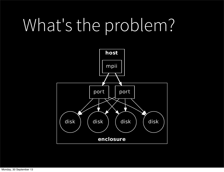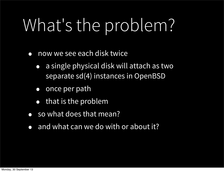- now we see each disk twice
	- a single physical disk will attach as two separate sd(4) instances in OpenBSD
	- once per path
	- that is the problem
- so what does that mean?
- and what can we do with or about it?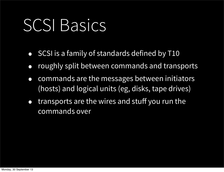#### SCSI Basics

- SCSI is a family of standards defined by T10
- roughly split between commands and transports
- commands are the messages between initiators (hosts) and logical units (eg, disks, tape drives)
- transports are the wires and stuff you run the commands over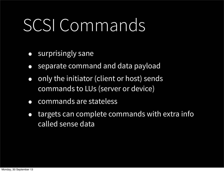#### SCSI Commands

- surprisingly sane
- separate command and data payload
- only the initiator (client or host) sends commands to LUs (server or device)
- commands are stateless
- targets can complete commands with extra info called sense data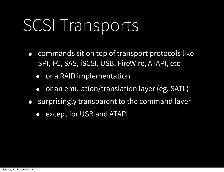#### SCSI Transports

- commands sit on top of transport protocols like SPI, FC, SAS, iSCSI, USB, FireWire, ATAPI, etc
	- or a RAID implementation
	- or an emulation/translation layer (eg, SATL)
- surprisingly transparent to the command layer
	- except for USB and ATAPI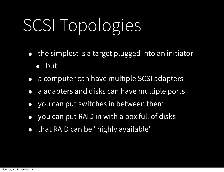### SCSI Topologies

- the simplest is a target plugged into an initiator • but...
- a computer can have multiple SCSI adapters
- a adapters and disks can have multiple ports
- you can put switches in between them
- you can put RAID in with a box full of disks
- that RAID can be "highly available"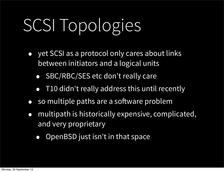### SCSI Topologies

- yet SCSI as a protocol only cares about links between initiators and a logical units
	- SBC/RBC/SES etc don't really care
	- T10 didn't really address this until recently
- so multiple paths are a software problem
- multipath is historically expensive, complicated, and very proprietary
	- OpenBSD just isn't in that space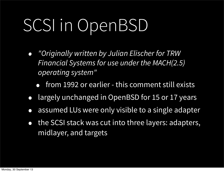#### SCSI in OpenBSD

- *• "Originally written by Julian Elischer for TRW Financial Systems for use under the MACH(2.5) operating system"*
	- from 1992 or earlier this comment still exists
- largely unchanged in OpenBSD for 15 or 17 years
- assumed LUs were only visible to a single adapter
- the SCSI stack was cut into three layers: adapters, midlayer, and targets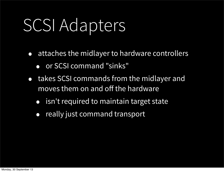#### SCSI Adapters

- attaches the midlayer to hardware controllers
	- or SCSI command "sinks"
- takes SCSI commands from the midlayer and moves them on and off the hardware
	- isn't required to maintain target state
	- really just command transport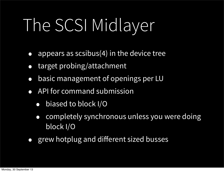### The SCSI Midlayer

- appears as scsibus(4) in the device tree
- target probing/attachment
- basic management of openings per LU
- API for command submission
	- biased to block I/O
	- completely synchronous unless you were doing block I/O
- grew hotplug and different sized busses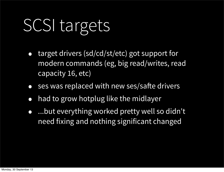### SCSI targets

- target drivers (sd/cd/st/etc) got support for modern commands (eg, big read/writes, read capacity 16, etc)
- ses was replaced with new ses/safte drivers
- had to grow hotplug like the midlayer
- ...but everything worked pretty well so didn't need fixing and nothing significant changed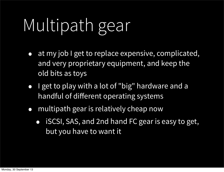### Multipath gear

- at my job I get to replace expensive, complicated, and very proprietary equipment, and keep the old bits as toys
- I get to play with a lot of "big" hardware and a handful of different operating systems
- multipath gear is relatively cheap now
	- iSCSI, SAS, and 2nd hand FC gear is easy to get, but you have to want it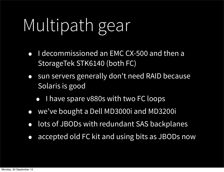### Multipath gear

- I decommissioned an EMC CX-500 and then a StorageTek STK6140 (both FC)
- sun servers generally don't need RAID because Solaris is good
	- I have spare v880s with two FC loops
- we've bought a Dell MD3000i and MD3200i
- lots of JBODs with redundant SAS backplanes
- accepted old FC kit and using bits as JBODs now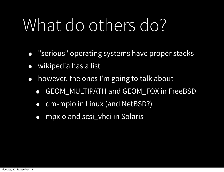### What do others do?

- "serious" operating systems have proper stacks
- wikipedia has a list
- however, the ones I'm going to talk about
	- GEOM\_MULTIPATH and GEOM\_FOX in FreeBSD
	- dm-mpio in Linux (and NetBSD?)
	- mpxio and scsi\_vhci in Solaris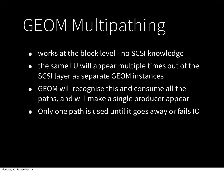### GEOM Multipathing

- works at the block level no SCSI knowledge
- the same LU will appear multiple times out of the SCSI layer as separate GEOM instances
- GEOM will recognise this and consume all the paths, and will make a single producer appear
- Only one path is used until it goes away or fails IO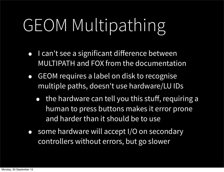### GEOM Multipathing

- I can't see a significant difference between MULTIPATH and FOX from the documentation
- GEOM requires a label on disk to recognise multiple paths, doesn't use hardware/LU IDs
	- the hardware can tell you this stuff, requiring a human to press buttons makes it error prone and harder than it should be to use
- some hardware will accept I/O on secondary controllers without errors, but go slower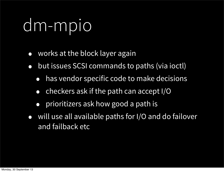#### dm-mpio

- works at the block layer again
- but issues SCSI commands to paths (via ioctl)
	- has vendor specific code to make decisions
	- checkers ask if the path can accept I/O
	- prioritizers ask how good a path is
- will use all available paths for I/O and do failover and failback etc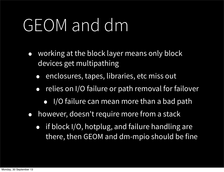#### GEOM and dm

- working at the block layer means only block devices get multipathing
	- enclosures, tapes, libraries, etc miss out
	- relies on I/O failure or path removal for failover
		- I/O failure can mean more than a bad path
- however, doesn't require more from a stack
	- if block I/O, hotplug, and failure handling are there, then GEOM and dm-mpio should be fine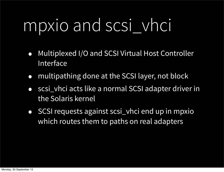#### mpxio and scsi\_vhci

- Multiplexed I/O and SCSI Virtual Host Controller Interface
- multipathing done at the SCSI layer, not block
- scsi\_vhci acts like a normal SCSI adapter driver in the Solaris kernel
- SCSI requests against scsi\_vhci end up in mpxio which routes them to paths on real adapters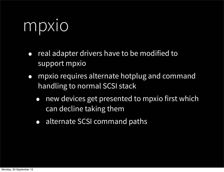### mpxio

- real adapter drivers have to be modified to support mpxio
- mpxio requires alternate hotplug and command handling to normal SCSI stack
	- new devices get presented to mpxio first which can decline taking them
	- alternate SCSI command paths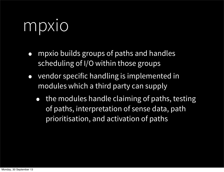### mpxio

- mpxio builds groups of paths and handles scheduling of I/O within those groups
- vendor specific handling is implemented in modules which a third party can supply
	- the modules handle claiming of paths, testing of paths, interpretation of sense data, path prioritisation, and activation of paths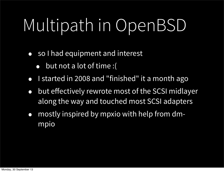### Multipath in OpenBSD

- so I had equipment and interest
	- but not a lot of time :(
- I started in 2008 and "finished" it a month ago
- but effectively rewrote most of the SCSI midlayer along the way and touched most SCSI adapters
- mostly inspired by mpxio with help from dmmpio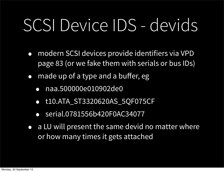#### SCSI Device IDS - devids

- modern SCSI devices provide identifiers via VPD page 83 (or we fake them with serials or bus IDs)
- made up of a type and a buffer, eg
	- naa.500000e010902de0
	- t10.ATA\_ST3320620AS\_5QF075CF
	- serial.0781556b420F0AC34077
- a LU will present the same devid no matter where or how many times it gets attached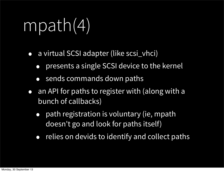### mpath(4)

- a virtual SCSI adapter (like scsi\_vhci)
	- presents a single SCSI device to the kernel
	- sends commands down paths
- an API for paths to register with (along with a bunch of callbacks)
	- path registration is voluntary (ie, mpath doesn't go and look for paths itself)
	- relies on devids to identify and collect paths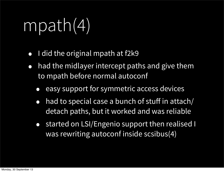### mpath(4)

- I did the original mpath at f2k9
- had the midlayer intercept paths and give them to mpath before normal autoconf
	- easy support for symmetric access devices
	- had to special case a bunch of stuff in attach/ detach paths, but it worked and was reliable
	- started on LSI/Engenio support then realised I was rewriting autoconf inside scsibus(4)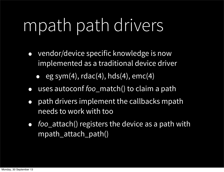#### mpath path drivers

- vendor/device specific knowledge is now implemented as a traditional device driver
	- eg sym $(4)$ , rdac $(4)$ , hds $(4)$ , emc $(4)$
- uses autoconf *foo*\_match() to claim a path
- path drivers implement the callbacks mpath needs to work with too
- *foo*\_attach() registers the device as a path with mpath\_attach\_path()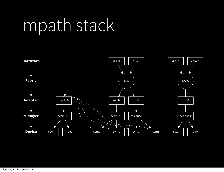### mpath stack

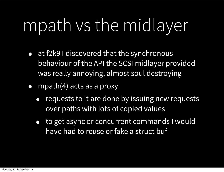### mpath vs the midlayer

- at f2k9 I discovered that the synchronous behaviour of the API the SCSI midlayer provided was really annoying, almost soul destroying
- mpath(4) acts as a proxy
	- requests to it are done by issuing new requests over paths with lots of copied values
	- to get async or concurrent commands I would have had to reuse or fake a struct buf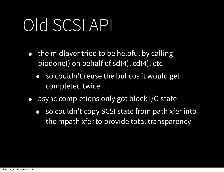### Old SCSI API

- the midlayer tried to be helpful by calling biodone() on behalf of sd(4), cd(4), etc
	- so couldn't reuse the buf cos it would get completed twice
- async completions only got block I/O state
	- so couldn't copy SCSI state from path xfer into the mpath xfer to provide total transparency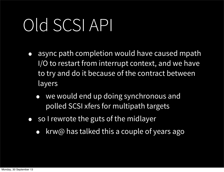### Old SCSI API

- async path completion would have caused mpath I/O to restart from interrupt context, and we have to try and do it because of the contract between layers
	- we would end up doing synchronous and polled SCSI xfers for multipath targets
- so I rewrote the guts of the midlayer
	- krw@ has talked this a couple of years ago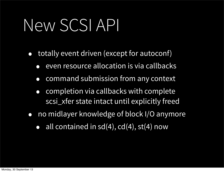#### New SCSI API

- totally event driven (except for autoconf)
	- even resource allocation is via callbacks
	- command submission from any context
	- completion via callbacks with complete scsi\_xfer state intact until explicitly freed
- no midlayer knowledge of block I/O anymore
	- all contained in  $sd(4)$ ,  $cd(4)$ ,  $st(4)$  now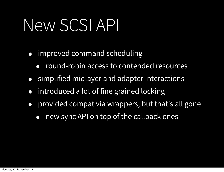#### New SCSI API

- improved command scheduling
	- round-robin access to contended resources
- simplified midlayer and adapter interactions
- introduced a lot of fine grained locking
- provided compat via wrappers, but that's all gone
	- new sync API on top of the callback ones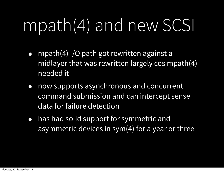### mpath(4) and new SCSI

- mpath(4) I/O path got rewritten against a midlayer that was rewritten largely cos mpath(4) needed it
- now supports asynchronous and concurrent command submission and can intercept sense data for failure detection
- has had solid support for symmetric and asymmetric devices in sym(4) for a year or three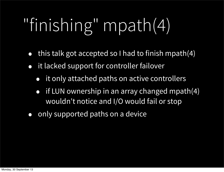# "finishing" mpath(4)

- this talk got accepted so I had to finish mpath(4)
- it lacked support for controller failover
	- it only attached paths on active controllers
	- if LUN ownership in an array changed mpath(4) wouldn't notice and I/O would fail or stop
- only supported paths on a device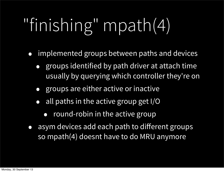# "finishing" mpath(4)

- implemented groups between paths and devices
	- groups identified by path driver at attach time usually by querying which controller they're on
	- groups are either active or inactive
	- all paths in the active group get I/O
		- round-robin in the active group
- asym devices add each path to different groups so mpath(4) doesnt have to do MRU anymore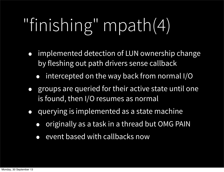# "finishing" mpath(4)

- implemented detection of LUN ownership change by fleshing out path drivers sense callback
	- intercepted on the way back from normal I/O
- groups are queried for their active state until one is found, then I/O resumes as normal
- querying is implemented as a state machine
	- originally as a task in a thread but OMG PAIN
	- event based with callbacks now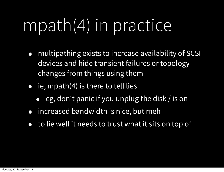### mpath(4) in practice

- multipathing exists to increase availability of SCSI devices and hide transient failures or topology changes from things using them
- ie, mpath $(4)$  is there to tell lies
	- eg, don't panic if you unplug the disk / is on
- increased bandwidth is nice, but meh
- to lie well it needs to trust what it sits on top of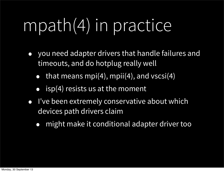### mpath(4) in practice

- you need adapter drivers that handle failures and timeouts, and do hotplug really well
	- that means mpi(4), mpii(4), and vscsi(4)
	- isp(4) resists us at the moment
- I've been extremely conservative about which devices path drivers claim
	- might make it conditional adapter driver too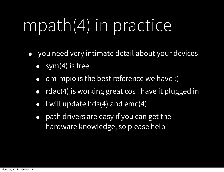### mpath(4) in practice

- you need very intimate detail about your devices
	- sym $(4)$  is free
	- dm-mpio is the best reference we have :(
	- rdac(4) is working great cos I have it plugged in
	- I will update hds(4) and emc(4)
	- path drivers are easy if you can get the hardware knowledge, so please help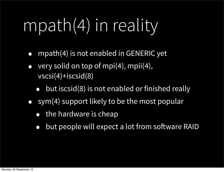### mpath(4) in reality

- mpath(4) is not enabled in GENERIC yet
- very solid on top of mpi(4), mpii(4), vscsi(4)+iscsid(8)
	- but iscsid(8) is not enabled or finished really
- sym(4) support likely to be the most popular
	- the hardware is cheap
	- but people will expect a lot from software RAID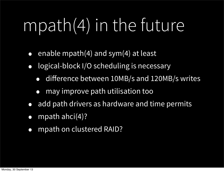### mpath(4) in the future

- enable mpath $(4)$  and sym $(4)$  at least
- logical-block I/O scheduling is necessary
	- difference between 10MB/s and 120MB/s writes
	- may improve path utilisation too
- add path drivers as hardware and time permits
- mpath ahci(4)?
- mpath on clustered RAID?